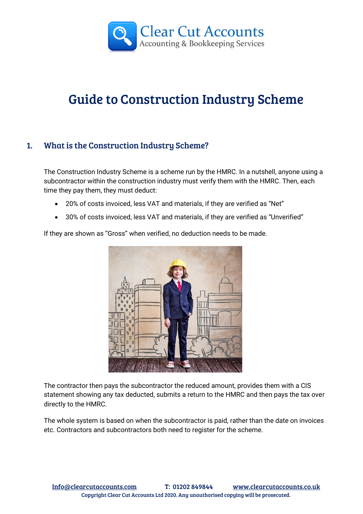

# Guide to Construction Industry Scheme

# 1. What is the Construction Industry Scheme?

The Construction Industry Scheme is a scheme run by the HMRC. In a nutshell, anyone using a subcontractor within the construction industry must verify them with the HMRC. Then, each time they pay them, they must deduct:

- 20% of costs invoiced, less VAT and materials, if they are verified as "Net"
- 30% of costs invoiced, less VAT and materials, if they are verified as "Unverified"

If they are shown as "Gross" when verified, no deduction needs to be made.



The contractor then pays the subcontractor the reduced amount, provides them with a CIS statement showing any tax deducted, submits a return to the HMRC and then pays the tax over directly to the HMRC.

The whole system is based on when the subcontractor is paid, rather than the date on invoices etc. Contractors and subcontractors both need to register for the scheme.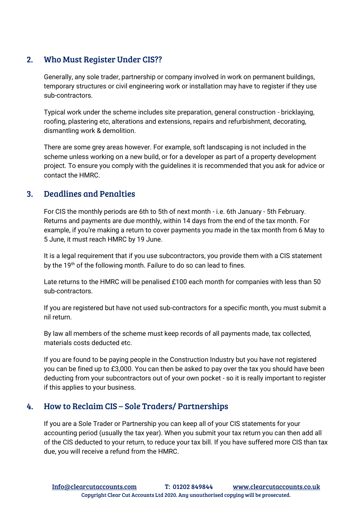## 2. Who Must Register Under CIS??

Generally, any sole trader, partnership or company involved in work on permanent buildings, temporary structures or civil engineering work or installation may have to register if they use sub-contractors.

Typical work under the scheme includes site preparation, general construction - bricklaying, roofing, plastering etc, alterations and extensions, repairs and refurbishment, decorating, dismantling work & demolition.

There are some grey areas however. For example, soft landscaping is not included in the scheme unless working on a new build, or for a developer as part of a property development project. To ensure you comply with the guidelines it is recommended that you ask for advice or contact the HMRC.

## 3. Deadlines and Penalties

For CIS the monthly periods are 6th to 5th of next month - i.e. 6th January - 5th February. Returns and payments are due monthly, within 14 days from the end of the tax month. For example, if you're making a return to cover payments you made in the tax month from 6 May to 5 June, it must reach HMRC by 19 June.

It is a legal requirement that if you use subcontractors, you provide them with a CIS statement by the 19<sup>th</sup> of the following month. Failure to do so can lead to fines.

Late returns to the HMRC will be penalised £100 each month for companies with less than 50 sub-contractors.

If you are registered but have not used sub-contractors for a specific month, you must submit a nil return.

By law all members of the scheme must keep records of all payments made, tax collected, materials costs deducted etc.

If you are found to be paying people in the Construction Industry but you have not registered you can be fined up to £3,000. You can then be asked to pay over the tax you should have been deducting from your subcontractors out of your own pocket - so it is really important to register if this applies to your business.

## 4. How to Reclaim CIS – Sole Traders/ Partnerships

If you are a Sole Trader or Partnership you can keep all of your CIS statements for your accounting period (usually the tax year). When you submit your tax return you can then add all of the CIS deducted to your return, to reduce your tax bill. If you have suffered more CIS than tax due, you will receive a refund from the HMRC.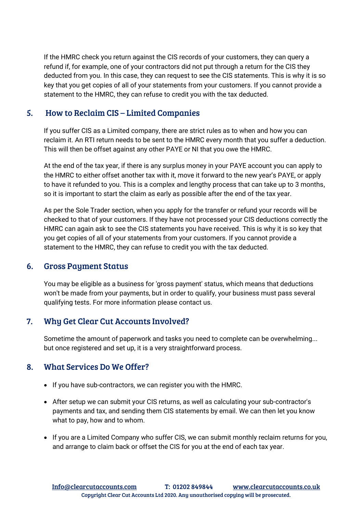If the HMRC check you return against the CIS records of your customers, they can query a refund if, for example, one of your contractors did not put through a return for the CIS they deducted from you. In this case, they can request to see the CIS statements. This is why it is so key that you get copies of all of your statements from your customers. If you cannot provide a statement to the HMRC, they can refuse to credit you with the tax deducted.

# 5. How to Reclaim CIS – Limited Companies

If you suffer CIS as a Limited company, there are strict rules as to when and how you can reclaim it. An RTI return needs to be sent to the HMRC every month that you suffer a deduction. This will then be offset against any other PAYE or NI that you owe the HMRC.

At the end of the tax year, if there is any surplus money in your PAYE account you can apply to the HMRC to either offset another tax with it, move it forward to the new year's PAYE, or apply to have it refunded to you. This is a complex and lengthy process that can take up to 3 months, so it is important to start the claim as early as possible after the end of the tax year.

As per the Sole Trader section, when you apply for the transfer or refund your records will be checked to that of your customers. If they have not processed your CIS deductions correctly the HMRC can again ask to see the CIS statements you have received. This is why it is so key that you get copies of all of your statements from your customers. If you cannot provide a statement to the HMRC, they can refuse to credit you with the tax deducted.

## 6. Gross Payment Status

You may be eligible as a business for 'gross payment' status, which means that deductions won't be made from your payments, but in order to qualify, your business must pass several qualifying tests. For more information please [contact us.](http://www.clearcutaccounts.co.uk/contact-us/)

## 7. Why Get Clear Cut Accounts Involved?

Sometime the amount of paperwork and tasks you need to complete can be overwhelming... but once registered and set up, it is a very straightforward process.

## 8. What Services Do We Offer?

- If you have sub-contractors, we can register you with the HMRC.
- After setup we can submit your CIS returns, as well as calculating your sub-contractor's payments and tax, and sending them CIS statements by email. We can then let you know what to pay, how and to whom.
- If you are a Limited Company who suffer CIS, we can submit monthly reclaim returns for you, and arrange to claim back or offset the CIS for you at the end of each tax year.